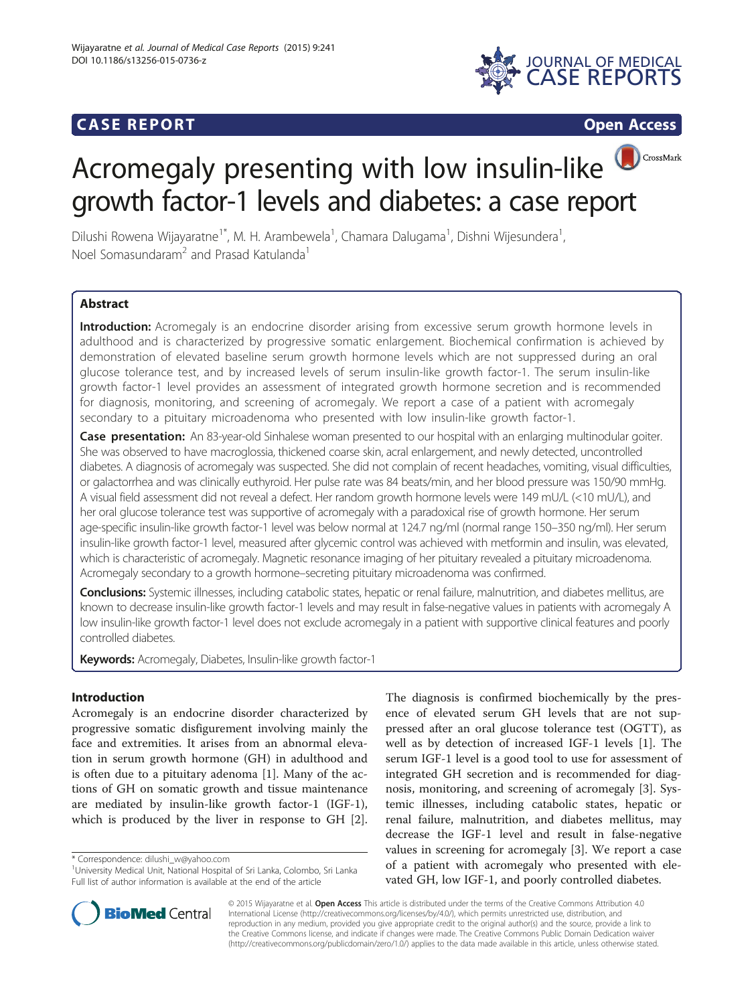## **CASE REPORT CASE REPORT**



# CrossMark Acromegaly presenting with low insulin-like growth factor-1 levels and diabetes: a case report

Dilushi Rowena Wijayaratne<sup>1\*</sup>, M. H. Arambewela<sup>1</sup>, Chamara Dalugama<sup>1</sup>, Dishni Wijesundera<sup>1</sup> , Noel Somasundaram<sup>2</sup> and Prasad Katulanda<sup>1</sup>

## **Abstract**

Introduction: Acromegaly is an endocrine disorder arising from excessive serum growth hormone levels in adulthood and is characterized by progressive somatic enlargement. Biochemical confirmation is achieved by demonstration of elevated baseline serum growth hormone levels which are not suppressed during an oral glucose tolerance test, and by increased levels of serum insulin-like growth factor-1. The serum insulin-like growth factor-1 level provides an assessment of integrated growth hormone secretion and is recommended for diagnosis, monitoring, and screening of acromegaly. We report a case of a patient with acromegaly secondary to a pituitary microadenoma who presented with low insulin-like growth factor-1.

Case presentation: An 83-year-old Sinhalese woman presented to our hospital with an enlarging multinodular goiter. She was observed to have macroglossia, thickened coarse skin, acral enlargement, and newly detected, uncontrolled diabetes. A diagnosis of acromegaly was suspected. She did not complain of recent headaches, vomiting, visual difficulties, or galactorrhea and was clinically euthyroid. Her pulse rate was 84 beats/min, and her blood pressure was 150/90 mmHg. A visual field assessment did not reveal a defect. Her random growth hormone levels were 149 mU/L (<10 mU/L), and her oral glucose tolerance test was supportive of acromegaly with a paradoxical rise of growth hormone. Her serum age-specific insulin-like growth factor-1 level was below normal at 124.7 ng/ml (normal range 150–350 ng/ml). Her serum insulin-like growth factor-1 level, measured after glycemic control was achieved with metformin and insulin, was elevated, which is characteristic of acromegaly. Magnetic resonance imaging of her pituitary revealed a pituitary microadenoma. Acromegaly secondary to a growth hormone–secreting pituitary microadenoma was confirmed.

Conclusions: Systemic illnesses, including catabolic states, hepatic or renal failure, malnutrition, and diabetes mellitus, are known to decrease insulin-like growth factor-1 levels and may result in false-negative values in patients with acromegaly A low insulin-like growth factor-1 level does not exclude acromegaly in a patient with supportive clinical features and poorly controlled diabetes.

Keywords: Acromegaly, Diabetes, Insulin-like growth factor-1

## Introduction

Acromegaly is an endocrine disorder characterized by progressive somatic disfigurement involving mainly the face and extremities. It arises from an abnormal elevation in serum growth hormone (GH) in adulthood and is often due to a pituitary adenoma [\[1](#page-2-0)]. Many of the actions of GH on somatic growth and tissue maintenance are mediated by insulin-like growth factor-1 (IGF-1), which is produced by the liver in response to GH [\[2](#page-2-0)].

\* Correspondence: [dilushi\\_w@yahoo.com](mailto:dilushi_w@yahoo.com) <sup>1</sup>

The diagnosis is confirmed biochemically by the presence of elevated serum GH levels that are not suppressed after an oral glucose tolerance test (OGTT), as well as by detection of increased IGF-1 levels [[1\]](#page-2-0). The serum IGF-1 level is a good tool to use for assessment of integrated GH secretion and is recommended for diagnosis, monitoring, and screening of acromegaly [\[3\]](#page-2-0). Systemic illnesses, including catabolic states, hepatic or renal failure, malnutrition, and diabetes mellitus, may decrease the IGF-1 level and result in false-negative values in screening for acromegaly [\[3\]](#page-2-0). We report a case of a patient with acromegaly who presented with elevated GH, low IGF-1, and poorly controlled diabetes.



© 2015 Wijayaratne et al. Open Access This article is distributed under the terms of the Creative Commons Attribution 4.0 International License [\(http://creativecommons.org/licenses/by/4.0/](http://creativecommons.org/licenses/by/4.0/)), which permits unrestricted use, distribution, and reproduction in any medium, provided you give appropriate credit to the original author(s) and the source, provide a link to the Creative Commons license, and indicate if changes were made. The Creative Commons Public Domain Dedication waiver [\(http://creativecommons.org/publicdomain/zero/1.0/](http://creativecommons.org/publicdomain/zero/1.0/)) applies to the data made available in this article, unless otherwise stated.

<sup>&</sup>lt;sup>1</sup>University Medical Unit, National Hospital of Sri Lanka, Colombo, Sri Lanka Full list of author information is available at the end of the article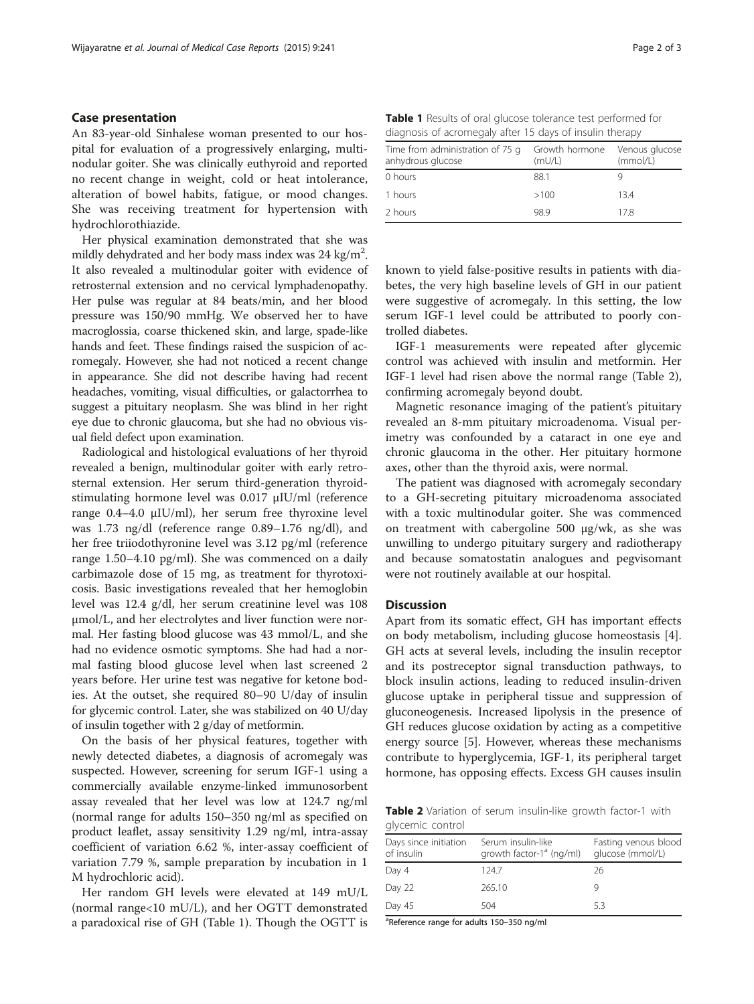#### Case presentation

An 83-year-old Sinhalese woman presented to our hospital for evaluation of a progressively enlarging, multinodular goiter. She was clinically euthyroid and reported no recent change in weight, cold or heat intolerance, alteration of bowel habits, fatigue, or mood changes. She was receiving treatment for hypertension with hydrochlorothiazide.

Her physical examination demonstrated that she was mildly dehydrated and her body mass index was 24 kg/m<sup>2</sup>. It also revealed a multinodular goiter with evidence of retrosternal extension and no cervical lymphadenopathy. Her pulse was regular at 84 beats/min, and her blood pressure was 150/90 mmHg. We observed her to have macroglossia, coarse thickened skin, and large, spade-like hands and feet. These findings raised the suspicion of acromegaly. However, she had not noticed a recent change in appearance. She did not describe having had recent headaches, vomiting, visual difficulties, or galactorrhea to suggest a pituitary neoplasm. She was blind in her right eye due to chronic glaucoma, but she had no obvious visual field defect upon examination.

Radiological and histological evaluations of her thyroid revealed a benign, multinodular goiter with early retrosternal extension. Her serum third-generation thyroidstimulating hormone level was 0.017 μIU/ml (reference range 0.4–4.0 μIU/ml), her serum free thyroxine level was 1.73 ng/dl (reference range 0.89–1.76 ng/dl), and her free triiodothyronine level was 3.12 pg/ml (reference range 1.50–4.10 pg/ml). She was commenced on a daily carbimazole dose of 15 mg, as treatment for thyrotoxicosis. Basic investigations revealed that her hemoglobin level was 12.4 g/dl, her serum creatinine level was 108 μmol/L, and her electrolytes and liver function were normal. Her fasting blood glucose was 43 mmol/L, and she had no evidence osmotic symptoms. She had had a normal fasting blood glucose level when last screened 2 years before. Her urine test was negative for ketone bodies. At the outset, she required 80–90 U/day of insulin for glycemic control. Later, she was stabilized on 40 U/day of insulin together with 2 g/day of metformin.

On the basis of her physical features, together with newly detected diabetes, a diagnosis of acromegaly was suspected. However, screening for serum IGF-1 using a commercially available enzyme-linked immunosorbent assay revealed that her level was low at 124.7 ng/ml (normal range for adults 150–350 ng/ml as specified on product leaflet, assay sensitivity 1.29 ng/ml, intra-assay coefficient of variation 6.62 %, inter-assay coefficient of variation 7.79 %, sample preparation by incubation in 1 M hydrochloric acid).

Her random GH levels were elevated at 149 mU/L (normal range<10 mU/L), and her OGTT demonstrated a paradoxical rise of GH (Table 1). Though the OGTT is

| Growth hormone Venous glucose<br>(mU/L) | (mmol/L) |
|-----------------------------------------|----------|
| 88.1                                    |          |
| >100                                    | 13.4     |
| 98.9                                    | 17.8     |
|                                         |          |

known to yield false-positive results in patients with diabetes, the very high baseline levels of GH in our patient were suggestive of acromegaly. In this setting, the low serum IGF-1 level could be attributed to poorly controlled diabetes.

IGF-1 measurements were repeated after glycemic control was achieved with insulin and metformin. Her IGF-1 level had risen above the normal range (Table 2), confirming acromegaly beyond doubt.

Magnetic resonance imaging of the patient's pituitary revealed an 8-mm pituitary microadenoma. Visual perimetry was confounded by a cataract in one eye and chronic glaucoma in the other. Her pituitary hormone axes, other than the thyroid axis, were normal.

The patient was diagnosed with acromegaly secondary to a GH-secreting pituitary microadenoma associated with a toxic multinodular goiter. She was commenced on treatment with cabergoline 500 μg/wk, as she was unwilling to undergo pituitary surgery and radiotherapy and because somatostatin analogues and pegvisomant were not routinely available at our hospital.

## **Discussion**

Apart from its somatic effect, GH has important effects on body metabolism, including glucose homeostasis [\[4](#page-2-0)]. GH acts at several levels, including the insulin receptor and its postreceptor signal transduction pathways, to block insulin actions, leading to reduced insulin-driven glucose uptake in peripheral tissue and suppression of gluconeogenesis. Increased lipolysis in the presence of GH reduces glucose oxidation by acting as a competitive energy source [[5\]](#page-2-0). However, whereas these mechanisms contribute to hyperglycemia, IGF-1, its peripheral target hormone, has opposing effects. Excess GH causes insulin

Table 2 Variation of serum insulin-like growth factor-1 with glycemic control

| Days since initiation<br>of insulin | Serum insulin-like<br>growth factor-1 <sup>a</sup> (ng/ml) | Fasting venous blood<br>glucose (mmol/L) |
|-------------------------------------|------------------------------------------------------------|------------------------------------------|
| Day 4                               | 124.7                                                      | 26                                       |
| Day 22                              | 265.10                                                     |                                          |
| Day 45                              | 504                                                        | 5.3                                      |

<sup>a</sup>Reference range for adults 150-350 ng/ml